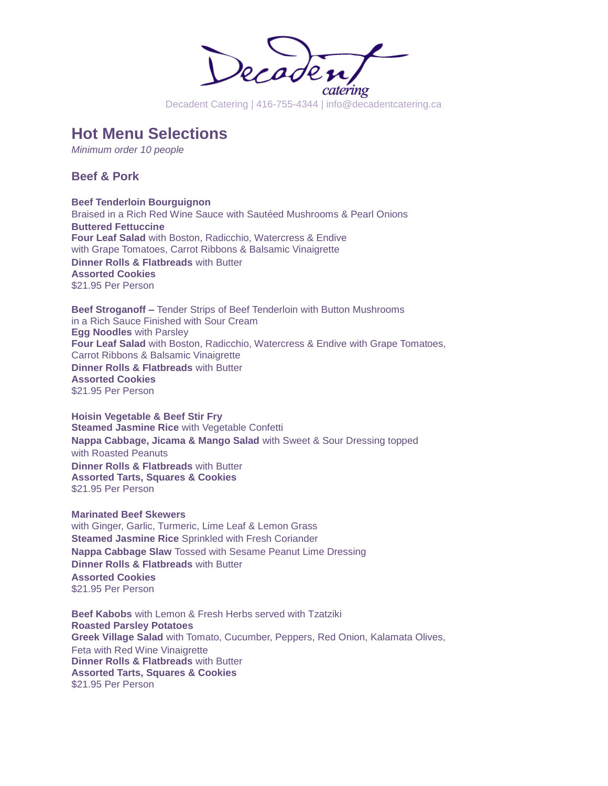

# **Hot Menu Selections**

*Minimum order 10 people*

**Beef & Pork** 

**Beef Tenderloin Bourguignon** Braised in a Rich Red Wine Sauce with Sautéed Mushrooms & Pearl Onions **Buttered Fettuccine Four Leaf Salad** with Boston, Radicchio, Watercress & Endive with Grape Tomatoes, Carrot Ribbons & Balsamic Vinaigrette **Dinner Rolls & Flatbreads** with Butter **Assorted Cookies** \$21.95 Per Person

**Beef Stroganoff –** Tender Strips of Beef Tenderloin with Button Mushrooms in a Rich Sauce Finished with Sour Cream **Egg Noodles** with Parsley **Four Leaf Salad** with Boston, Radicchio, Watercress & Endive with Grape Tomatoes, Carrot Ribbons & Balsamic Vinaigrette **Dinner Rolls & Flatbreads** with Butter **Assorted Cookies** \$21.95 Per Person

**Hoisin Vegetable & Beef Stir Fry Steamed Jasmine Rice** with Vegetable Confetti **Nappa Cabbage, Jicama & Mango Salad** with Sweet & Sour Dressing topped with Roasted Peanuts **Dinner Rolls & Flatbreads** with Butter **Assorted Tarts, Squares & Cookies** \$21.95 Per Person

**Marinated Beef Skewers** with Ginger, Garlic, Turmeric, Lime Leaf & Lemon Grass **Steamed Jasmine Rice** Sprinkled with Fresh Coriander **Nappa Cabbage Slaw** Tossed with Sesame Peanut Lime Dressing **Dinner Rolls & Flatbreads** with Butter **Assorted Cookies** \$21.95 Per Person

**Beef Kabobs** with Lemon & Fresh Herbs served with Tzatziki **Roasted Parsley Potatoes Greek Village Salad** with Tomato, Cucumber, Peppers, Red Onion, Kalamata Olives, Feta with Red Wine Vinaigrette **Dinner Rolls & Flatbreads** with Butter **Assorted Tarts, Squares & Cookies** \$21.95 Per Person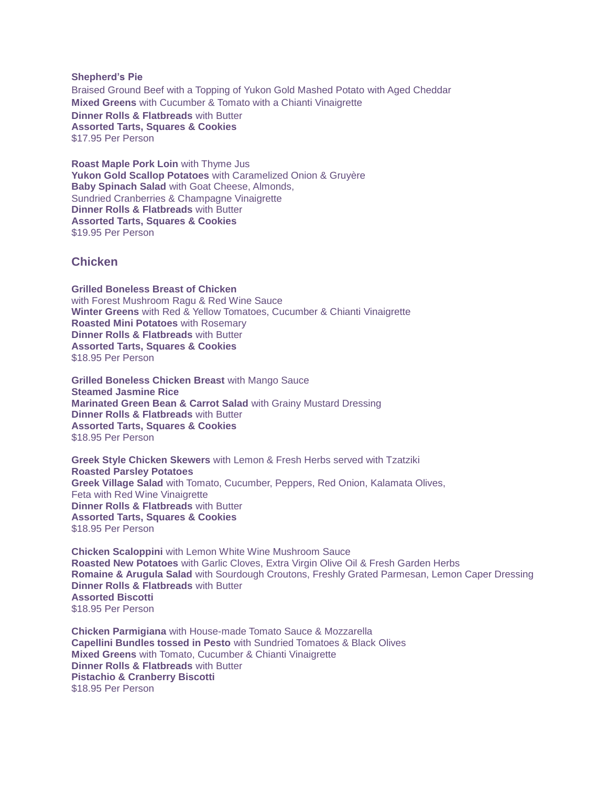**Shepherd's Pie** Braised Ground Beef with a Topping of Yukon Gold Mashed Potato with Aged Cheddar **Mixed Greens** with Cucumber & Tomato with a Chianti Vinaigrette **Dinner Rolls & Flatbreads** with Butter **Assorted Tarts, Squares & Cookies** \$17.95 Per Person

**Roast Maple Pork Loin** with Thyme Jus **Yukon Gold Scallop Potatoes** with Caramelized Onion & Gruyère **Baby Spinach Salad** with Goat Cheese, Almonds, Sundried Cranberries & Champagne Vinaigrette **Dinner Rolls & Flatbreads** with Butter **Assorted Tarts, Squares & Cookies** \$19.95 Per Person

#### **Chicken**

**Grilled Boneless Breast of Chicken** with Forest Mushroom Ragu & Red Wine Sauce **Winter Greens** with Red & Yellow Tomatoes, Cucumber & Chianti Vinaigrette **Roasted Mini Potatoes** with Rosemary **Dinner Rolls & Flatbreads** with Butter **Assorted Tarts, Squares & Cookies** \$18.95 Per Person

**Grilled Boneless Chicken Breast** with Mango Sauce **Steamed Jasmine Rice Marinated Green Bean & Carrot Salad** with Grainy Mustard Dressing **Dinner Rolls & Flatbreads** with Butter **Assorted Tarts, Squares & Cookies** \$18.95 Per Person

**Greek Style Chicken Skewers** with Lemon & Fresh Herbs served with Tzatziki **Roasted Parsley Potatoes Greek Village Salad** with Tomato, Cucumber, Peppers, Red Onion, Kalamata Olives, Feta with Red Wine Vinaigrette **Dinner Rolls & Flatbreads** with Butter **Assorted Tarts, Squares & Cookies** \$18.95 Per Person

**Chicken Scaloppini** with Lemon White Wine Mushroom Sauce **Roasted New Potatoes** with Garlic Cloves, Extra Virgin Olive Oil & Fresh Garden Herbs **Romaine & Arugula Salad** with Sourdough Croutons, Freshly Grated Parmesan, Lemon Caper Dressing **Dinner Rolls & Flatbreads** with Butter **Assorted Biscotti** \$18.95 Per Person

**Chicken Parmigiana** with House-made Tomato Sauce & Mozzarella **Capellini Bundles tossed in Pesto** with Sundried Tomatoes & Black Olives **Mixed Greens** with Tomato, Cucumber & Chianti Vinaigrette **Dinner Rolls & Flatbreads** with Butter **Pistachio & Cranberry Biscotti** \$18.95 Per Person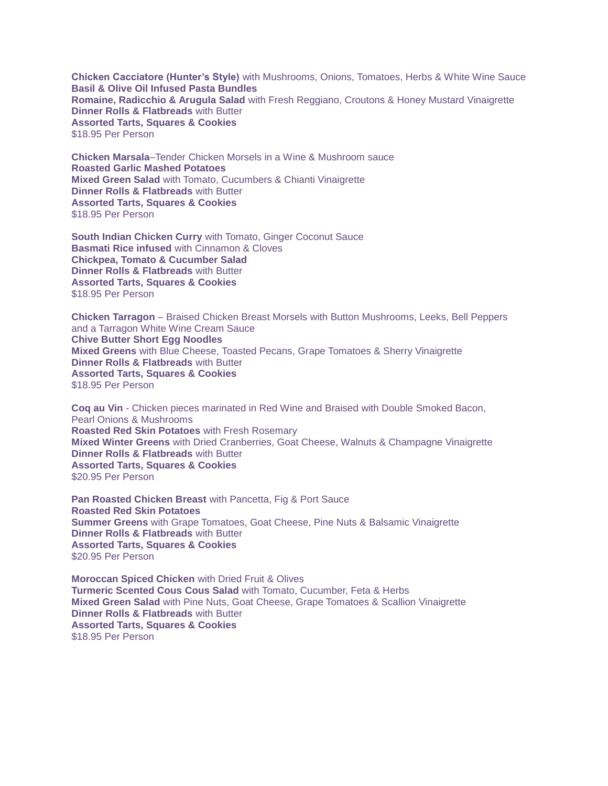**Chicken Cacciatore (Hunter's Style)** with Mushrooms, Onions, Tomatoes, Herbs & White Wine Sauce **Basil & Olive Oil Infused Pasta Bundles Romaine, Radicchio & Arugula Salad** with Fresh Reggiano, Croutons & Honey Mustard Vinaigrette **Dinner Rolls & Flatbreads** with Butter **Assorted Tarts, Squares & Cookies** \$18.95 Per Person

**Chicken Marsala**–Tender Chicken Morsels in a Wine & Mushroom sauce **Roasted Garlic Mashed Potatoes Mixed Green Salad** with Tomato, Cucumbers & Chianti Vinaigrette **Dinner Rolls & Flatbreads** with Butter **Assorted Tarts, Squares & Cookies**  \$18.95 Per Person

**South Indian Chicken Curry** with Tomato, Ginger Coconut Sauce **Basmati Rice infused** with Cinnamon & Cloves **Chickpea, Tomato & Cucumber Salad Dinner Rolls & Flatbreads** with Butter **Assorted Tarts, Squares & Cookies** \$18.95 Per Person

**Chicken Tarragon** – Braised Chicken Breast Morsels with Button Mushrooms, Leeks, Bell Peppers and a Tarragon White Wine Cream Sauce **Chive Butter Short Egg Noodles Mixed Greens** with Blue Cheese, Toasted Pecans, Grape Tomatoes & Sherry Vinaigrette **Dinner Rolls & Flatbreads** with Butter **Assorted Tarts, Squares & Cookies** \$18.95 Per Person

**Coq au Vin** - Chicken pieces marinated in Red Wine and Braised with Double Smoked Bacon, Pearl Onions & Mushrooms **Roasted Red Skin Potatoes** with Fresh Rosemary **Mixed Winter Greens** with Dried Cranberries, Goat Cheese, Walnuts & Champagne Vinaigrette **Dinner Rolls & Flatbreads** with Butter **Assorted Tarts, Squares & Cookies** \$20.95 Per Person

**Pan Roasted Chicken Breast** with Pancetta, Fig & Port Sauce **Roasted Red Skin Potatoes Summer Greens** with Grape Tomatoes, Goat Cheese, Pine Nuts & Balsamic Vinaigrette **Dinner Rolls & Flatbreads** with Butter **Assorted Tarts, Squares & Cookies** \$20.95 Per Person

**Moroccan Spiced Chicken** with Dried Fruit & Olives **Turmeric Scented Cous Cous Salad** with Tomato, Cucumber, Feta & Herbs **Mixed Green Salad** with Pine Nuts, Goat Cheese, Grape Tomatoes & Scallion Vinaigrette **Dinner Rolls & Flatbreads** with Butter **Assorted Tarts, Squares & Cookies** \$18.95 Per Person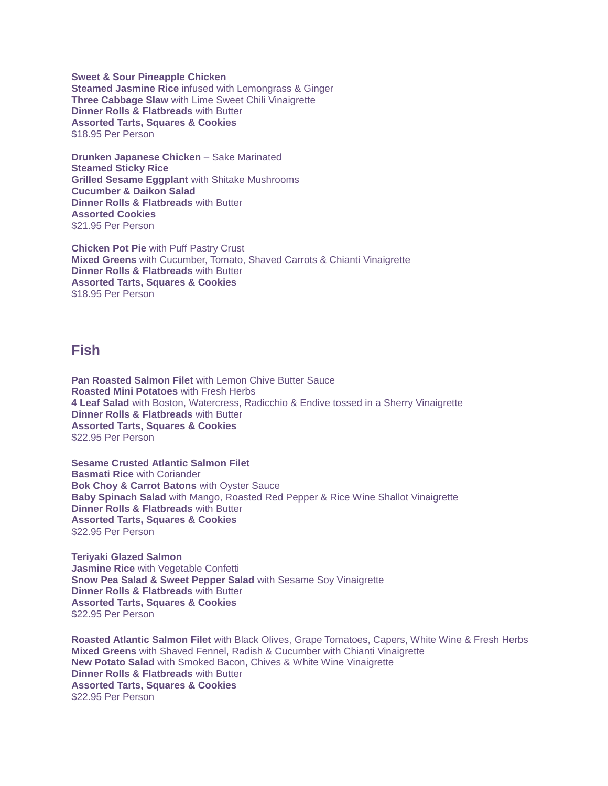**Sweet & Sour Pineapple Chicken Steamed Jasmine Rice** infused with Lemongrass & Ginger **Three Cabbage Slaw** with Lime Sweet Chili Vinaigrette **Dinner Rolls & Flatbreads** with Butter **Assorted Tarts, Squares & Cookies** \$18.95 Per Person

**Drunken Japanese Chicken** – Sake Marinated **Steamed Sticky Rice Grilled Sesame Eggplant** with Shitake Mushrooms **Cucumber & Daikon Salad Dinner Rolls & Flatbreads** with Butter **Assorted Cookies** \$21.95 Per Person

**Chicken Pot Pie** with Puff Pastry Crust **Mixed Greens** with Cucumber, Tomato, Shaved Carrots & Chianti Vinaigrette **Dinner Rolls & Flatbreads** with Butter **Assorted Tarts, Squares & Cookies**  \$18.95 Per Person

### **Fish**

**Pan Roasted Salmon Filet** with Lemon Chive Butter Sauce **Roasted Mini Potatoes** with Fresh Herbs **4 Leaf Salad** with Boston, Watercress, Radicchio & Endive tossed in a Sherry Vinaigrette **Dinner Rolls & Flatbreads** with Butter **Assorted Tarts, Squares & Cookies** \$22.95 Per Person

**Sesame Crusted Atlantic Salmon Filet Basmati Rice** with Coriander **Bok Choy & Carrot Batons** with Oyster Sauce **Baby Spinach Salad** with Mango, Roasted Red Pepper & Rice Wine Shallot Vinaigrette **Dinner Rolls & Flatbreads** with Butter **Assorted Tarts, Squares & Cookies** \$22.95 Per Person

**Teriyaki Glazed Salmon Jasmine Rice** with Vegetable Confetti **Snow Pea Salad & Sweet Pepper Salad** with Sesame Soy Vinaigrette **Dinner Rolls & Flatbreads** with Butter **Assorted Tarts, Squares & Cookies** \$22.95 Per Person

**Roasted Atlantic Salmon Filet** with Black Olives, Grape Tomatoes, Capers, White Wine & Fresh Herbs **Mixed Greens** with Shaved Fennel, Radish & Cucumber with Chianti Vinaigrette **New Potato Salad** with Smoked Bacon, Chives & White Wine Vinaigrette **Dinner Rolls & Flatbreads** with Butter **Assorted Tarts, Squares & Cookies** \$22.95 Per Person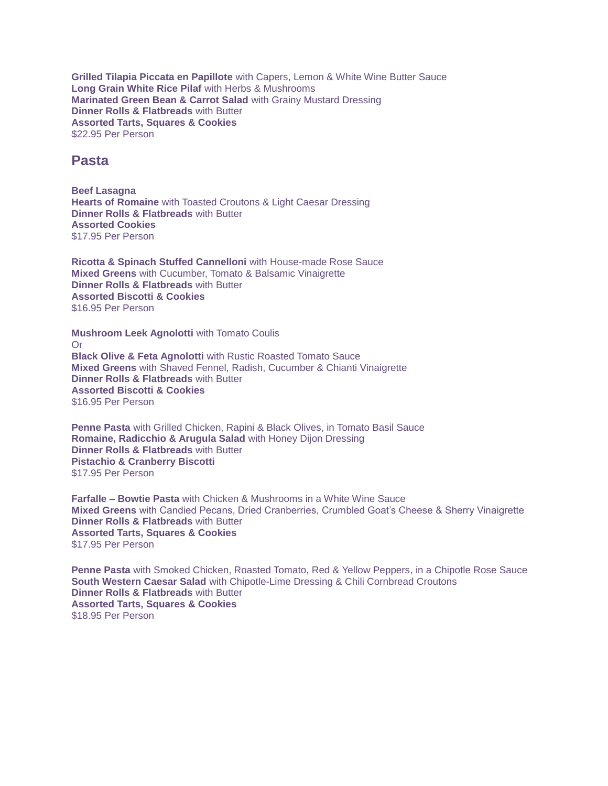**Grilled Tilapia Piccata en Papillote** with Capers, Lemon & White Wine Butter Sauce **Long Grain White Rice Pilaf** with Herbs & Mushrooms **Marinated Green Bean & Carrot Salad** with Grainy Mustard Dressing **Dinner Rolls & Flatbreads** with Butter **Assorted Tarts, Squares & Cookies** \$22.95 Per Person

#### **Pasta**

**Beef Lasagna Hearts of Romaine** with Toasted Croutons & Light Caesar Dressing **Dinner Rolls & Flatbreads** with Butter **Assorted Cookies** \$17.95 Per Person

**Ricotta & Spinach Stuffed Cannelloni** with House-made Rose Sauce **Mixed Greens** with Cucumber, Tomato & Balsamic Vinaigrette **Dinner Rolls & Flatbreads** with Butter **Assorted Biscotti & Cookies** \$16.95 Per Person

**Mushroom Leek Agnolotti** with Tomato Coulis Or **Black Olive & Feta Agnolotti** with Rustic Roasted Tomato Sauce **Mixed Greens** with Shaved Fennel, Radish, Cucumber & Chianti Vinaigrette **Dinner Rolls & Flatbreads** with Butter **Assorted Biscotti & Cookies** \$16.95 Per Person

**Penne Pasta** with Grilled Chicken, Rapini & Black Olives, in Tomato Basil Sauce **Romaine, Radicchio & Arugula Salad** with Honey Dijon Dressing **Dinner Rolls & Flatbreads** with Butter **Pistachio & Cranberry Biscotti** \$17.95 Per Person

**Farfalle – Bowtie Pasta** with Chicken & Mushrooms in a White Wine Sauce **Mixed Greens** with Candied Pecans, Dried Cranberries, Crumbled Goat's Cheese & Sherry Vinaigrette **Dinner Rolls & Flatbreads** with Butter **Assorted Tarts, Squares & Cookies** \$17.95 Per Person

**Penne Pasta** with Smoked Chicken, Roasted Tomato, Red & Yellow Peppers, in a Chipotle Rose Sauce **South Western Caesar Salad** with Chipotle-Lime Dressing & Chili Cornbread Croutons **Dinner Rolls & Flatbreads** with Butter **Assorted Tarts, Squares & Cookies** \$18.95 Per Person